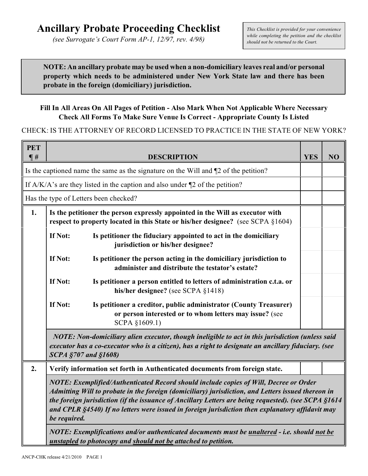*(see Surrogate's Court Form AP-1, 12/97, rev. 4/98)*

*This Checklist is provided for your convenience while completing the petition and the checklist should not be returned to the Court.*

**NOTE: An ancillary probate may be used when a non-domiciliary leaves real and/or personal property which needs to be administered under New York State law and there has been probate in the foreign (domiciliary) jurisdiction.**

## **Fill In All Areas On All Pages of Petition - Also Mark When Not Applicable Where Necessary Check All Forms To Make Sure Venue Is Correct - Appropriate County Is Listed**

## CHECK: IS THE ATTORNEY OF RECORD LICENSED TO PRACTICE IN THE STATE OF NEW YORK?

| <b>PET</b><br>$\P$ # |                                                                                                                                                                                                                                                                                                                                                                                                                         | <b>DESCRIPTION</b>                                                                                                                                             | <b>YES</b> | NO |
|----------------------|-------------------------------------------------------------------------------------------------------------------------------------------------------------------------------------------------------------------------------------------------------------------------------------------------------------------------------------------------------------------------------------------------------------------------|----------------------------------------------------------------------------------------------------------------------------------------------------------------|------------|----|
|                      |                                                                                                                                                                                                                                                                                                                                                                                                                         | Is the captioned name the same as the signature on the Will and ¶2 of the petition?                                                                            |            |    |
|                      |                                                                                                                                                                                                                                                                                                                                                                                                                         | If $A/K/A$ 's are they listed in the caption and also under $\square$ of the petition?                                                                         |            |    |
|                      |                                                                                                                                                                                                                                                                                                                                                                                                                         | Has the type of Letters been checked?                                                                                                                          |            |    |
| 1.                   | Is the petitioner the person expressly appointed in the Will as executor with<br>respect to property located in this State or his/her designee? (see SCPA §1604)                                                                                                                                                                                                                                                        |                                                                                                                                                                |            |    |
|                      | If Not:                                                                                                                                                                                                                                                                                                                                                                                                                 | Is petitioner the fiduciary appointed to act in the domiciliary<br>jurisdiction or his/her designee?                                                           |            |    |
|                      | If Not:                                                                                                                                                                                                                                                                                                                                                                                                                 | Is petitioner the person acting in the domiciliary jurisdiction to<br>administer and distribute the testator's estate?                                         |            |    |
|                      | If Not:                                                                                                                                                                                                                                                                                                                                                                                                                 | Is petitioner a person entitled to letters of administration c.t.a. or<br>his/her designee? (see SCPA $§1418$ )                                                |            |    |
|                      | If Not:                                                                                                                                                                                                                                                                                                                                                                                                                 | Is petitioner a creditor, public administrator (County Treasurer)<br>or person interested or to whom letters may issue? (see<br>SCPA §1609.1)                  |            |    |
|                      | NOTE: Non-domiciliary alien executor, though ineligible to act in this jurisdiction (unless said<br>executor has a co-executor who is a citizen), has a right to designate an ancillary fiduciary. (see<br><b>SCPA §707 and §1608)</b>                                                                                                                                                                                  |                                                                                                                                                                |            |    |
| 2.                   |                                                                                                                                                                                                                                                                                                                                                                                                                         | Verify information set forth in Authenticated documents from foreign state.                                                                                    |            |    |
|                      | NOTE: Exemplified/Authenticated Record should include copies of Will, Decree or Order<br>Admitting Will to probate in the foreign (domiciliary) jurisdiction, and Letters issued thereon in<br>the foreign jurisdiction (if the issuance of Ancillary Letters are being requested). (see SCPA §1614<br>and CPLR §4540) If no letters were issued in foreign jurisdiction then explanatory affidavit may<br>be required. |                                                                                                                                                                |            |    |
|                      |                                                                                                                                                                                                                                                                                                                                                                                                                         | NOTE: Exemplifications and/or authenticated documents must be unaltered - i.e. should not be<br>unstapled to photocopy and should not be attached to petition. |            |    |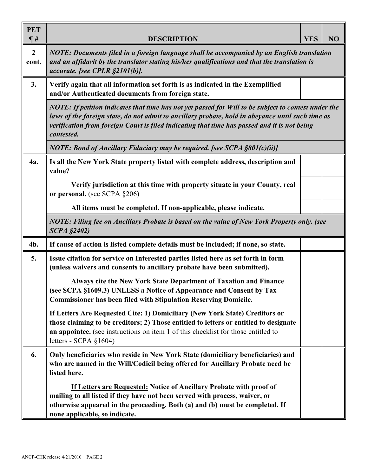| <b>PET</b><br>$\P$ #    | <b>DESCRIPTION</b>                                                                                                                                                                                                                                                                                                      | <b>YES</b> | NO |
|-------------------------|-------------------------------------------------------------------------------------------------------------------------------------------------------------------------------------------------------------------------------------------------------------------------------------------------------------------------|------------|----|
| $\overline{2}$<br>cont. | NOTE: Documents filed in a foreign language shall be accompanied by an English translation<br>and an affidavit by the translator stating his/her qualifications and that the translation is<br>accurate. [see CPLR §2101(b)].                                                                                           |            |    |
| 3.                      | Verify again that all information set forth is as indicated in the Exemplified<br>and/or Authenticated documents from foreign state.                                                                                                                                                                                    |            |    |
|                         | NOTE: If petition indicates that time has not yet passed for Will to be subject to contest under the<br>laws of the foreign state, do not admit to ancillary probate, hold in abeyance until such time as<br>verification from foreign Court is filed indicating that time has passed and it is not being<br>contested. |            |    |
|                         | <b>NOTE: Bond of Ancillary Fiduciary may be required. [see SCPA §801(c)(ii)]</b>                                                                                                                                                                                                                                        |            |    |
| 4a.                     | Is all the New York State property listed with complete address, description and<br>value?                                                                                                                                                                                                                              |            |    |
|                         | Verify jurisdiction at this time with property situate in your County, real<br>or personal. (see SCPA §206)                                                                                                                                                                                                             |            |    |
|                         | All items must be completed. If non-applicable, please indicate.                                                                                                                                                                                                                                                        |            |    |
|                         | NOTE: Filing fee on Ancillary Probate is based on the value of New York Property only. (see<br><b>SCPA §2402)</b>                                                                                                                                                                                                       |            |    |
| 4b.                     | If cause of action is listed complete details must be included; if none, so state.                                                                                                                                                                                                                                      |            |    |
| 5.                      | Issue citation for service on Interested parties listed here as set forth in form<br>(unless waivers and consents to ancillary probate have been submitted).                                                                                                                                                            |            |    |
|                         | Always cite the New York State Department of Taxation and Finance<br>(see SCPA §1609.3) UNLESS a Notice of Appearance and Consent by Tax<br><b>Commissioner has been filed with Stipulation Reserving Domicile.</b>                                                                                                     |            |    |
|                         | If Letters Are Requested Cite: 1) Domiciliary (New York State) Creditors or<br>those claiming to be creditors; 2) Those entitled to letters or entitled to designate<br>an appointee. (see instructions on item 1 of this checklist for those entitled to<br>letters - SCPA $§1604)$                                    |            |    |
| 6.                      | Only beneficiaries who reside in New York State (domiciliary beneficiaries) and<br>who are named in the Will/Codicil being offered for Ancillary Probate need be<br>listed here.                                                                                                                                        |            |    |
|                         | If Letters are Requested: Notice of Ancillary Probate with proof of<br>mailing to all listed if they have not been served with process, waiver, or<br>otherwise appeared in the proceeding. Both (a) and (b) must be completed. If<br>none applicable, so indicate.                                                     |            |    |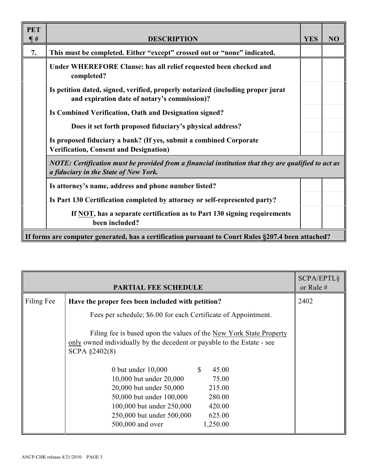| <b>PET</b> |                                                                                                                                              |            |                |
|------------|----------------------------------------------------------------------------------------------------------------------------------------------|------------|----------------|
| $\P H$     | <b>DESCRIPTION</b>                                                                                                                           | <b>YES</b> | N <sub>O</sub> |
| 7.         | This must be completed. Either "except" crossed out or "none" indicated.                                                                     |            |                |
|            | Under WHEREFORE Clause: has all relief requested been checked and<br>completed?                                                              |            |                |
|            | Is petition dated, signed, verified, properly notarized (including proper jurat<br>and expiration date of notary's commission)?              |            |                |
|            | Is Combined Verification, Oath and Designation signed?                                                                                       |            |                |
|            | Does it set forth proposed fiduciary's physical address?                                                                                     |            |                |
|            | Is proposed fiduciary a bank? (If yes, submit a combined Corporate<br><b>Verification, Consent and Designation)</b>                          |            |                |
|            | NOTE: Certification must be provided from a financial institution that they are qualified to act as<br>a fiduciary in the State of New York. |            |                |
|            | Is attorney's name, address and phone number listed?                                                                                         |            |                |
|            | Is Part 130 Certification completed by attorney or self-represented party?                                                                   |            |                |
|            | If NOT, has a separate certification as to Part 130 signing requirements<br>been included?                                                   |            |                |
|            | If forms are computer generated, has a certification pursuant to Court Rules §207.4 been attached?                                           |            |                |

|            | <b>PARTIAL FEE SCHEDULE</b>                                                                                                                                   |                       | <b>SCPA/EPTL§</b><br>or Rule $#$ |
|------------|---------------------------------------------------------------------------------------------------------------------------------------------------------------|-----------------------|----------------------------------|
| Filing Fee | Have the proper fees been included with petition?                                                                                                             |                       | 2402                             |
|            | Fees per schedule; \$6.00 for each Certificate of Appointment.                                                                                                |                       |                                  |
|            | Filing fee is based upon the values of the New York State Property<br>only owned individually by the decedent or payable to the Estate - see<br>SCPA §2402(8) |                       |                                  |
|            | 0 but under $10,000$                                                                                                                                          | $\mathbb{S}$<br>45.00 |                                  |
|            | 10,000 but under 20,000                                                                                                                                       | 75.00                 |                                  |
|            | 20,000 but under 50,000                                                                                                                                       | 215.00                |                                  |
|            | 50,000 but under 100,000                                                                                                                                      | 280.00                |                                  |
|            | 100,000 but under 250,000                                                                                                                                     | 420.00                |                                  |
|            | 250,000 but under 500,000                                                                                                                                     | 625.00                |                                  |
|            | 500,000 and over                                                                                                                                              | 1,250.00              |                                  |